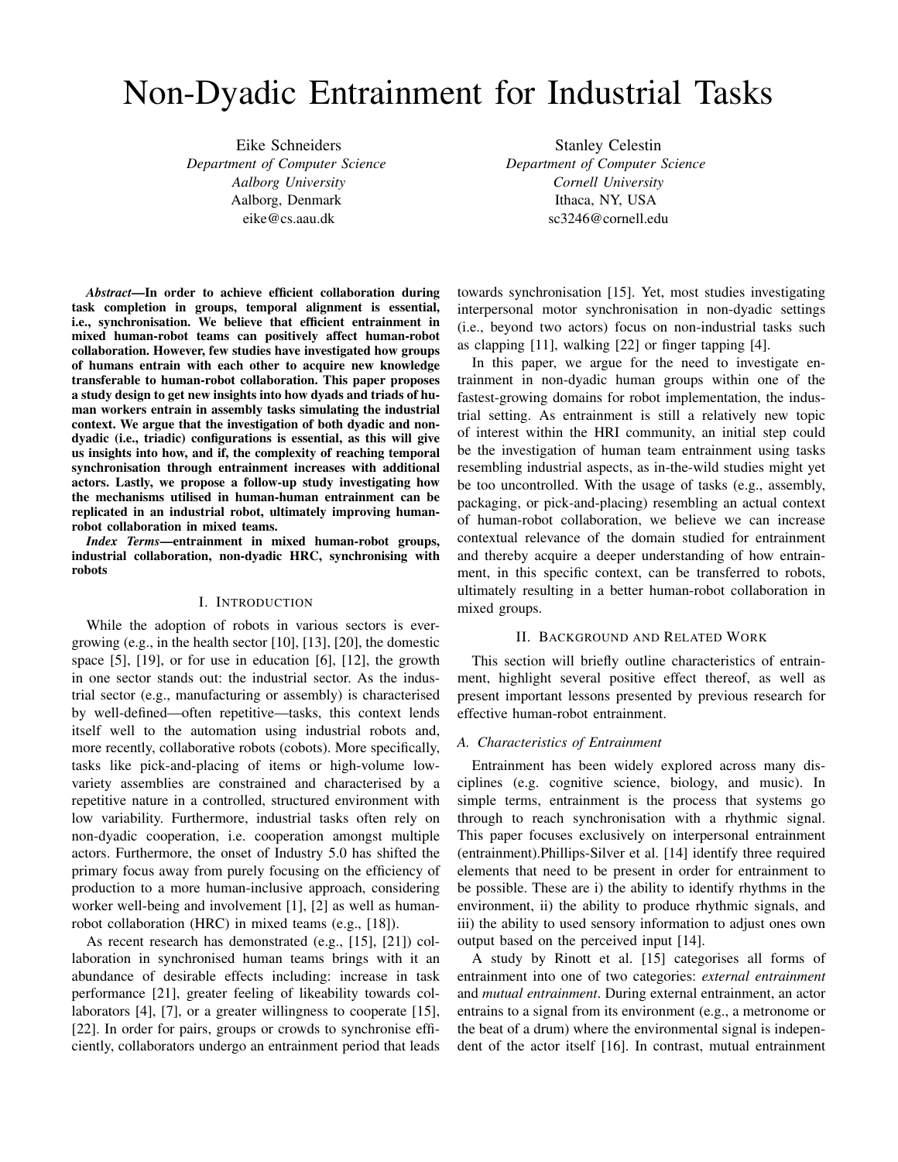# Non-Dyadic Entrainment for Industrial Tasks

Eike Schneiders *Department of Computer Science Aalborg University* Aalborg, Denmark eike@cs.aau.dk

Stanley Celestin *Department of Computer Science Cornell University* Ithaca, NY, USA sc3246@cornell.edu

*Abstract*—In order to achieve efficient collaboration during task completion in groups, temporal alignment is essential, i.e., synchronisation. We believe that efficient entrainment in mixed human-robot teams can positively affect human-robot collaboration. However, few studies have investigated how groups of humans entrain with each other to acquire new knowledge transferable to human-robot collaboration. This paper proposes a study design to get new insights into how dyads and triads of human workers entrain in assembly tasks simulating the industrial context. We argue that the investigation of both dyadic and nondyadic (i.e., triadic) configurations is essential, as this will give us insights into how, and if, the complexity of reaching temporal synchronisation through entrainment increases with additional actors. Lastly, we propose a follow-up study investigating how the mechanisms utilised in human-human entrainment can be replicated in an industrial robot, ultimately improving humanrobot collaboration in mixed teams.

*Index Terms*—entrainment in mixed human-robot groups, industrial collaboration, non-dyadic HRC, synchronising with robots

# I. INTRODUCTION

While the adoption of robots in various sectors is evergrowing (e.g., in the health sector [10], [13], [20], the domestic space [5], [19], or for use in education [6], [12], the growth in one sector stands out: the industrial sector. As the industrial sector (e.g., manufacturing or assembly) is characterised by well-defined—often repetitive—tasks, this context lends itself well to the automation using industrial robots and, more recently, collaborative robots (cobots). More specifically, tasks like pick-and-placing of items or high-volume lowvariety assemblies are constrained and characterised by a repetitive nature in a controlled, structured environment with low variability. Furthermore, industrial tasks often rely on non-dyadic cooperation, i.e. cooperation amongst multiple actors. Furthermore, the onset of Industry 5.0 has shifted the primary focus away from purely focusing on the efficiency of production to a more human-inclusive approach, considering worker well-being and involvement [1], [2] as well as humanrobot collaboration (HRC) in mixed teams (e.g., [18]).

As recent research has demonstrated (e.g., [15], [21]) collaboration in synchronised human teams brings with it an abundance of desirable effects including: increase in task performance [21], greater feeling of likeability towards collaborators [4], [7], or a greater willingness to cooperate [15], [22]. In order for pairs, groups or crowds to synchronise efficiently, collaborators undergo an entrainment period that leads towards synchronisation [15]. Yet, most studies investigating interpersonal motor synchronisation in non-dyadic settings (i.e., beyond two actors) focus on non-industrial tasks such as clapping [11], walking [22] or finger tapping [4].

In this paper, we argue for the need to investigate entrainment in non-dyadic human groups within one of the fastest-growing domains for robot implementation, the industrial setting. As entrainment is still a relatively new topic of interest within the HRI community, an initial step could be the investigation of human team entrainment using tasks resembling industrial aspects, as in-the-wild studies might yet be too uncontrolled. With the usage of tasks (e.g., assembly, packaging, or pick-and-placing) resembling an actual context of human-robot collaboration, we believe we can increase contextual relevance of the domain studied for entrainment and thereby acquire a deeper understanding of how entrainment, in this specific context, can be transferred to robots, ultimately resulting in a better human-robot collaboration in mixed groups.

# II. BACKGROUND AND RELATED WORK

This section will briefly outline characteristics of entrainment, highlight several positive effect thereof, as well as present important lessons presented by previous research for effective human-robot entrainment.

#### *A. Characteristics of Entrainment*

Entrainment has been widely explored across many disciplines (e.g. cognitive science, biology, and music). In simple terms, entrainment is the process that systems go through to reach synchronisation with a rhythmic signal. This paper focuses exclusively on interpersonal entrainment (entrainment).Phillips-Silver et al. [14] identify three required elements that need to be present in order for entrainment to be possible. These are i) the ability to identify rhythms in the environment, ii) the ability to produce rhythmic signals, and iii) the ability to used sensory information to adjust ones own output based on the perceived input [14].

A study by Rinott et al. [15] categorises all forms of entrainment into one of two categories: *external entrainment* and *mutual entrainment*. During external entrainment, an actor entrains to a signal from its environment (e.g., a metronome or the beat of a drum) where the environmental signal is independent of the actor itself [16]. In contrast, mutual entrainment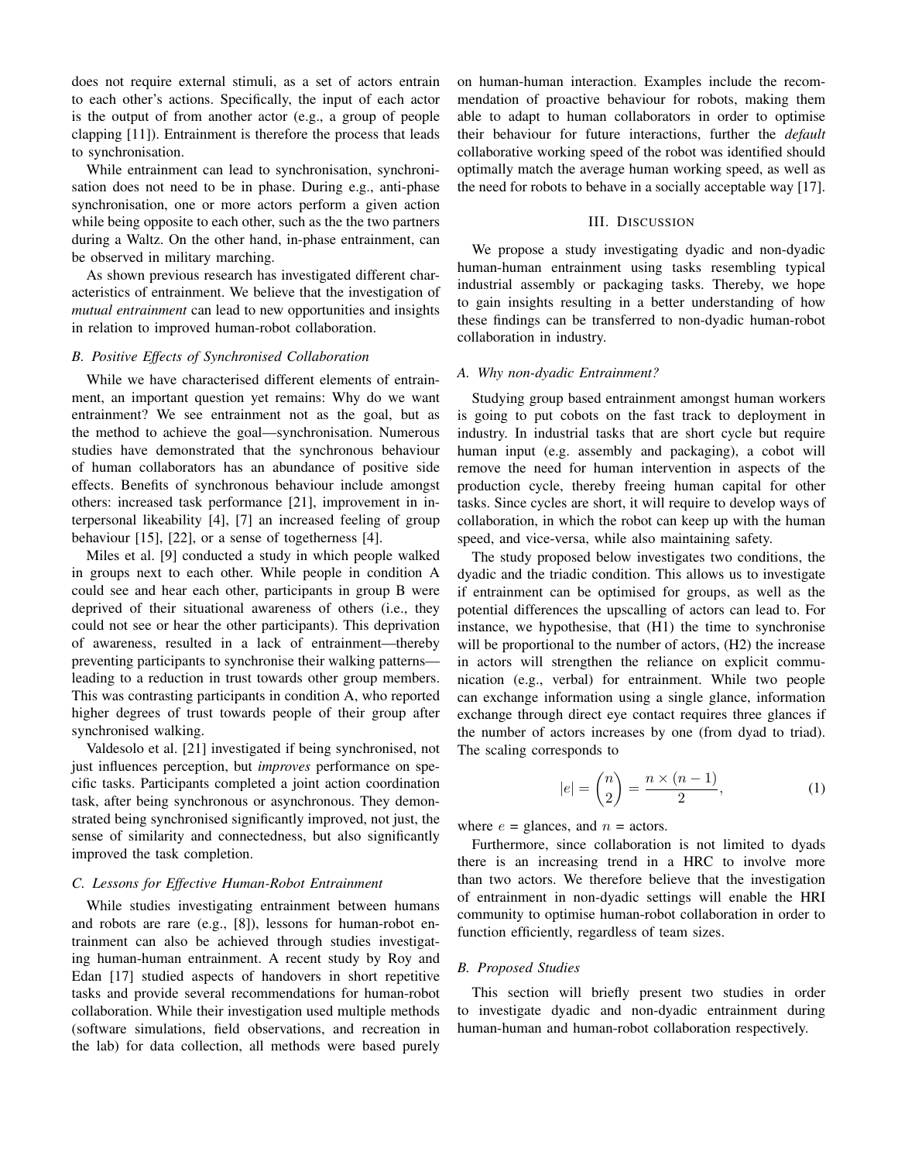does not require external stimuli, as a set of actors entrain to each other's actions. Specifically, the input of each actor is the output of from another actor (e.g., a group of people clapping [11]). Entrainment is therefore the process that leads to synchronisation.

While entrainment can lead to synchronisation, synchronisation does not need to be in phase. During e.g., anti-phase synchronisation, one or more actors perform a given action while being opposite to each other, such as the the two partners during a Waltz. On the other hand, in-phase entrainment, can be observed in military marching.

As shown previous research has investigated different characteristics of entrainment. We believe that the investigation of *mutual entrainment* can lead to new opportunities and insights in relation to improved human-robot collaboration.

### *B. Positive Effects of Synchronised Collaboration*

While we have characterised different elements of entrainment, an important question yet remains: Why do we want entrainment? We see entrainment not as the goal, but as the method to achieve the goal—synchronisation. Numerous studies have demonstrated that the synchronous behaviour of human collaborators has an abundance of positive side effects. Benefits of synchronous behaviour include amongst others: increased task performance [21], improvement in interpersonal likeability [4], [7] an increased feeling of group behaviour [15], [22], or a sense of togetherness [4].

Miles et al. [9] conducted a study in which people walked in groups next to each other. While people in condition A could see and hear each other, participants in group B were deprived of their situational awareness of others (i.e., they could not see or hear the other participants). This deprivation of awareness, resulted in a lack of entrainment—thereby preventing participants to synchronise their walking patterns leading to a reduction in trust towards other group members. This was contrasting participants in condition A, who reported higher degrees of trust towards people of their group after synchronised walking.

Valdesolo et al. [21] investigated if being synchronised, not just influences perception, but *improves* performance on specific tasks. Participants completed a joint action coordination task, after being synchronous or asynchronous. They demonstrated being synchronised significantly improved, not just, the sense of similarity and connectedness, but also significantly improved the task completion.

## *C. Lessons for Effective Human-Robot Entrainment*

While studies investigating entrainment between humans and robots are rare (e.g., [8]), lessons for human-robot entrainment can also be achieved through studies investigating human-human entrainment. A recent study by Roy and Edan [17] studied aspects of handovers in short repetitive tasks and provide several recommendations for human-robot collaboration. While their investigation used multiple methods (software simulations, field observations, and recreation in the lab) for data collection, all methods were based purely

on human-human interaction. Examples include the recommendation of proactive behaviour for robots, making them able to adapt to human collaborators in order to optimise their behaviour for future interactions, further the *default* collaborative working speed of the robot was identified should optimally match the average human working speed, as well as the need for robots to behave in a socially acceptable way [17].

### III. DISCUSSION

We propose a study investigating dyadic and non-dyadic human-human entrainment using tasks resembling typical industrial assembly or packaging tasks. Thereby, we hope to gain insights resulting in a better understanding of how these findings can be transferred to non-dyadic human-robot collaboration in industry.

#### *A. Why non-dyadic Entrainment?*

Studying group based entrainment amongst human workers is going to put cobots on the fast track to deployment in industry. In industrial tasks that are short cycle but require human input (e.g. assembly and packaging), a cobot will remove the need for human intervention in aspects of the production cycle, thereby freeing human capital for other tasks. Since cycles are short, it will require to develop ways of collaboration, in which the robot can keep up with the human speed, and vice-versa, while also maintaining safety.

The study proposed below investigates two conditions, the dyadic and the triadic condition. This allows us to investigate if entrainment can be optimised for groups, as well as the potential differences the upscalling of actors can lead to. For instance, we hypothesise, that (H1) the time to synchronise will be proportional to the number of actors, (H2) the increase in actors will strengthen the reliance on explicit communication (e.g., verbal) for entrainment. While two people can exchange information using a single glance, information exchange through direct eye contact requires three glances if the number of actors increases by one (from dyad to triad). The scaling corresponds to

$$
|e| = \binom{n}{2} = \frac{n \times (n-1)}{2},\tag{1}
$$

where  $e =$  glances, and  $n =$  actors.

Furthermore, since collaboration is not limited to dyads there is an increasing trend in a HRC to involve more than two actors. We therefore believe that the investigation of entrainment in non-dyadic settings will enable the HRI community to optimise human-robot collaboration in order to function efficiently, regardless of team sizes.

### *B. Proposed Studies*

This section will briefly present two studies in order to investigate dyadic and non-dyadic entrainment during human-human and human-robot collaboration respectively.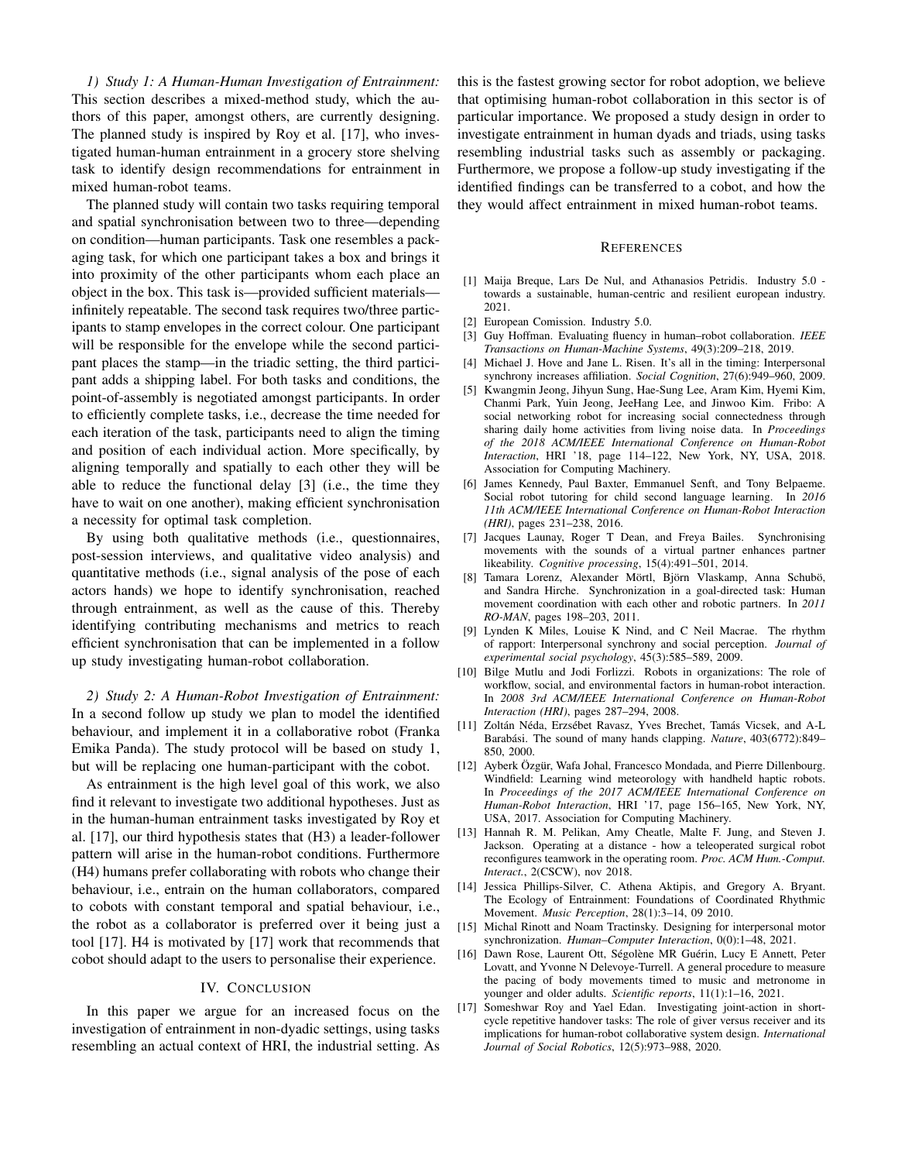*1) Study 1: A Human-Human Investigation of Entrainment:* This section describes a mixed-method study, which the authors of this paper, amongst others, are currently designing. The planned study is inspired by Roy et al. [17], who investigated human-human entrainment in a grocery store shelving task to identify design recommendations for entrainment in mixed human-robot teams.

The planned study will contain two tasks requiring temporal and spatial synchronisation between two to three—depending on condition—human participants. Task one resembles a packaging task, for which one participant takes a box and brings it into proximity of the other participants whom each place an object in the box. This task is—provided sufficient materials infinitely repeatable. The second task requires two/three participants to stamp envelopes in the correct colour. One participant will be responsible for the envelope while the second participant places the stamp—in the triadic setting, the third participant adds a shipping label. For both tasks and conditions, the point-of-assembly is negotiated amongst participants. In order to efficiently complete tasks, i.e., decrease the time needed for each iteration of the task, participants need to align the timing and position of each individual action. More specifically, by aligning temporally and spatially to each other they will be able to reduce the functional delay [3] (i.e., the time they have to wait on one another), making efficient synchronisation a necessity for optimal task completion.

By using both qualitative methods (i.e., questionnaires, post-session interviews, and qualitative video analysis) and quantitative methods (i.e., signal analysis of the pose of each actors hands) we hope to identify synchronisation, reached through entrainment, as well as the cause of this. Thereby identifying contributing mechanisms and metrics to reach efficient synchronisation that can be implemented in a follow up study investigating human-robot collaboration.

*2) Study 2: A Human-Robot Investigation of Entrainment:* In a second follow up study we plan to model the identified behaviour, and implement it in a collaborative robot (Franka Emika Panda). The study protocol will be based on study 1, but will be replacing one human-participant with the cobot.

As entrainment is the high level goal of this work, we also find it relevant to investigate two additional hypotheses. Just as in the human-human entrainment tasks investigated by Roy et al. [17], our third hypothesis states that (H3) a leader-follower pattern will arise in the human-robot conditions. Furthermore (H4) humans prefer collaborating with robots who change their behaviour, i.e., entrain on the human collaborators, compared to cobots with constant temporal and spatial behaviour, i.e., the robot as a collaborator is preferred over it being just a tool [17]. H4 is motivated by [17] work that recommends that cobot should adapt to the users to personalise their experience.

## IV. CONCLUSION

In this paper we argue for an increased focus on the investigation of entrainment in non-dyadic settings, using tasks resembling an actual context of HRI, the industrial setting. As this is the fastest growing sector for robot adoption, we believe that optimising human-robot collaboration in this sector is of particular importance. We proposed a study design in order to investigate entrainment in human dyads and triads, using tasks resembling industrial tasks such as assembly or packaging. Furthermore, we propose a follow-up study investigating if the identified findings can be transferred to a cobot, and how the they would affect entrainment in mixed human-robot teams.

#### **REFERENCES**

- [1] Maija Breque, Lars De Nul, and Athanasios Petridis. Industry 5.0 towards a sustainable, human-centric and resilient european industry. 2021.
- [2] European Comission. Industry 5.0.
- [3] Guy Hoffman. Evaluating fluency in human–robot collaboration. *IEEE Transactions on Human-Machine Systems*, 49(3):209–218, 2019.
- [4] Michael J. Hove and Jane L. Risen. It's all in the timing: Interpersonal synchrony increases affiliation. *Social Cognition*, 27(6):949–960, 2009.
- [5] Kwangmin Jeong, Jihyun Sung, Hae-Sung Lee, Aram Kim, Hyemi Kim, Chanmi Park, Yuin Jeong, JeeHang Lee, and Jinwoo Kim. Fribo: A social networking robot for increasing social connectedness through sharing daily home activities from living noise data. In *Proceedings of the 2018 ACM/IEEE International Conference on Human-Robot Interaction*, HRI '18, page 114–122, New York, NY, USA, 2018. Association for Computing Machinery.
- [6] James Kennedy, Paul Baxter, Emmanuel Senft, and Tony Belpaeme. Social robot tutoring for child second language learning. In *2016 11th ACM/IEEE International Conference on Human-Robot Interaction (HRI)*, pages 231–238, 2016.
- [7] Jacques Launay, Roger T Dean, and Freya Bailes. Synchronising movements with the sounds of a virtual partner enhances partner likeability. *Cognitive processing*, 15(4):491–501, 2014.
- [8] Tamara Lorenz, Alexander Mörtl, Björn Vlaskamp, Anna Schubö, and Sandra Hirche. Synchronization in a goal-directed task: Human movement coordination with each other and robotic partners. In *2011 RO-MAN*, pages 198–203, 2011.
- [9] Lynden K Miles, Louise K Nind, and C Neil Macrae. The rhythm of rapport: Interpersonal synchrony and social perception. *Journal of experimental social psychology*, 45(3):585–589, 2009.
- [10] Bilge Mutlu and Jodi Forlizzi. Robots in organizations: The role of workflow, social, and environmental factors in human-robot interaction. In *2008 3rd ACM/IEEE International Conference on Human-Robot Interaction (HRI)*, pages 287–294, 2008.
- [11] Zoltán Néda, Erzsébet Ravasz, Yves Brechet, Tamás Vicsek, and A-L Barabási. The sound of many hands clapping. Nature, 403(6772):849– 850, 2000.
- [12] Ayberk Özgür, Wafa Johal, Francesco Mondada, and Pierre Dillenbourg. Windfield: Learning wind meteorology with handheld haptic robots. In *Proceedings of the 2017 ACM/IEEE International Conference on Human-Robot Interaction*, HRI '17, page 156–165, New York, NY, USA, 2017. Association for Computing Machinery.
- [13] Hannah R. M. Pelikan, Amy Cheatle, Malte F. Jung, and Steven J. Jackson. Operating at a distance - how a teleoperated surgical robot reconfigures teamwork in the operating room. *Proc. ACM Hum.-Comput. Interact.*, 2(CSCW), nov 2018.
- [14] Jessica Phillips-Silver, C. Athena Aktipis, and Gregory A. Bryant. The Ecology of Entrainment: Foundations of Coordinated Rhythmic Movement. *Music Perception*, 28(1):3–14, 09 2010.
- [15] Michal Rinott and Noam Tractinsky. Designing for interpersonal motor synchronization. *Human–Computer Interaction*, 0(0):1–48, 2021.
- [16] Dawn Rose, Laurent Ott, Ségolène MR Guérin, Lucy E Annett, Peter Lovatt, and Yvonne N Delevoye-Turrell. A general procedure to measure the pacing of body movements timed to music and metronome in younger and older adults. *Scientific reports*, 11(1):1–16, 2021.
- [17] Someshwar Roy and Yael Edan. Investigating joint-action in shortcycle repetitive handover tasks: The role of giver versus receiver and its implications for human-robot collaborative system design. *International Journal of Social Robotics*, 12(5):973–988, 2020.